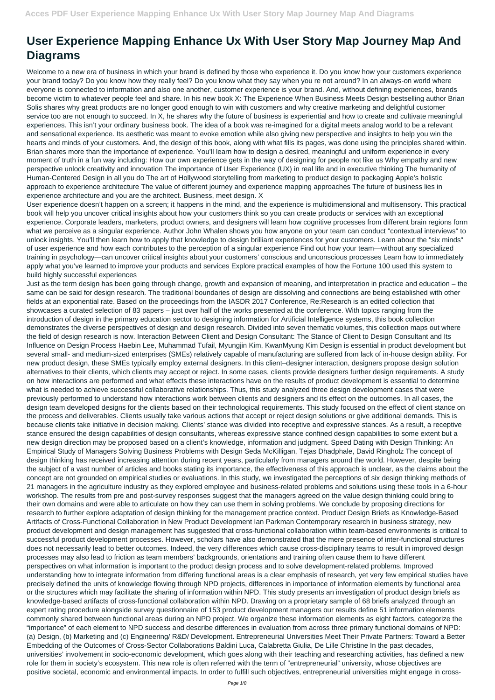## **User Experience Mapping Enhance Ux With User Story Map Journey Map And Diagrams**

Welcome to a new era of business in which your brand is defined by those who experience it. Do you know how your customers experience your brand today? Do you know how they really feel? Do you know what they say when you re not around? In an always-on world where everyone is connected to information and also one another, customer experience is your brand. And, without defining experiences, brands become victim to whatever people feel and share. In his new book X: The Experience When Business Meets Design bestselling author Brian Solis shares why great products are no longer good enough to win with customers and why creative marketing and delightful customer service too are not enough to succeed. In X, he shares why the future of business is experiential and how to create and cultivate meaningful experiences. This isn't your ordinary business book. The idea of a book was re-imagined for a digital meets analog world to be a relevant and sensational experience. Its aesthetic was meant to evoke emotion while also giving new perspective and insights to help you win the hearts and minds of your customers. And, the design of this book, along with what fills its pages, was done using the principles shared within. Brian shares more than the importance of experience. You'll learn how to design a desired, meaningful and uniform experience in every moment of truth in a fun way including: How our own experience gets in the way of designing for people not like us Why empathy and new perspective unlock creativity and innovation The importance of User Experience (UX) in real life and in executive thinking The humanity of Human-Centered Design in all you do The art of Hollywood storytelling from marketing to product design to packaging Apple's holistic approach to experience architecture The value of different journey and experience mapping approaches The future of business lies in experience architecture and you are the architect. Business, meet design. X

User experience doesn't happen on a screen; it happens in the mind, and the experience is multidimensional and multisensory. This practical book will help you uncover critical insights about how your customers think so you can create products or services with an exceptional experience. Corporate leaders, marketers, product owners, and designers will learn how cognitive processes from different brain regions form what we perceive as a singular experience. Author John Whalen shows you how anyone on your team can conduct "contextual interviews" to unlock insights. You'll then learn how to apply that knowledge to design brilliant experiences for your customers. Learn about the "six minds" of user experience and how each contributes to the perception of a singular experience Find out how your team—without any specialized training in psychology—can uncover critical insights about your customers' conscious and unconscious processes Learn how to immediately apply what you've learned to improve your products and services Explore practical examples of how the Fortune 100 used this system to build highly successful experiences

Just as the term design has been going through change, growth and expansion of meaning, and interpretation in practice and education – the same can be said for design research. The traditional boundaries of design are dissolving and connections are being established with other fields at an exponential rate. Based on the proceedings from the IASDR 2017 Conference, Re:Research is an edited collection that showcases a curated selection of 83 papers – just over half of the works presented at the conference. With topics ranging from the introduction of design in the primary education sector to designing information for Artificial Intelligence systems, this book collection demonstrates the diverse perspectives of design and design research. Divided into seven thematic volumes, this collection maps out where the field of design research is now. Interaction Between Client and Design Consultant: The Stance of Client to Design Consultant and Its Influence on Design Process Haebin Lee, Muhammad Tufail, Myungjin Kim, KwanMyung Kim Design is essential in product development but several small- and medium-sized enterprises (SMEs) relatively capable of manufacturing are suffered from lack of in-house design ability. For new product design, these SMEs typically employ external designers. In this client–designer interaction, designers propose design solution alternatives to their clients, which clients may accept or reject. In some cases, clients provide designers further design requirements. A study on how interactions are performed and what effects these interactions have on the results of product development is essential to determine what is needed to achieve successful collaborative relationships. Thus, this study analyzed three design development cases that were previously performed to understand how interactions work between clients and designers and its effect on the outcomes. In all cases, the design team developed designs for the clients based on their technological requirements. This study focused on the effect of client stance on the process and deliverables. Clients usually take various actions that accept or reject design solutions or give additional demands. This is because clients take initiative in decision making. Clients' stance was divided into receptive and expressive stances. As a result, a receptive stance ensured the design capabilities of design consultants, whereas expressive stance confined design capabilities to some extent but a new design direction may be proposed based on a client's knowledge, information and judgment. Speed Dating with Design Thinking: An Empirical Study of Managers Solving Business Problems with Design Seda McKilligan, Tejas Dhadphale, David Ringholz The concept of design thinking has received increasing attention during recent years, particularly from managers around the world. However, despite being the subject of a vast number of articles and books stating its importance, the effectiveness of this approach is unclear, as the claims about the concept are not grounded on empirical studies or evaluations. In this study, we investigated the perceptions of six design thinking methods of 21 managers in the agriculture industry as they explored employee and business-related problems and solutions using these tools in a 6-hour workshop. The results from pre and post-survey responses suggest that the managers agreed on the value design thinking could bring to their own domains and were able to articulate on how they can use them in solving problems. We conclude by proposing directions for research to further explore adaptation of design thinking for the management practice context. Product Design Briefs as Knowledge-Based Artifacts of Cross-Functional Collaboration in New Product Development Ian Parkman Contemporary research in business strategy, new product development and design management has suggested that cross-functional collaboration within team-based environments is critical to successful product development processes. However, scholars have also demonstrated that the mere presence of inter-functional structures does not necessarily lead to better outcomes. Indeed, the very differences which cause cross-disciplinary teams to result in improved design processes may also lead to friction as team members' backgrounds, orientations and training often cause them to have different perspectives on what information is important to the product design process and to solve development-related problems. Improved understanding how to integrate information from differing functional areas is a clear emphasis of research, yet very few empirical studies have precisely defined the units of knowledge flowing through NPD projects, differences in importance of information elements by functional area or the structures which may facilitate the sharing of information within NPD. This study presents an investigation of product design briefs as knowledge-based artifacts of cross-functional collaboration within NPD. Drawing on a proprietary sample of 68 briefs analyzed through an expert rating procedure alongside survey questionnaire of 153 product development managers our results define 51 information elements commonly shared between functional areas during an NPD project. We organize these information elements as eight factors, categorize the "importance" of each element to NPD success and describe differences in evaluation from across three primary functional domains of NPD: (a) Design, (b) Marketing and (c) Engineering/ R&D/ Development. Entrepreneurial Universities Meet Their Private Partners: Toward a Better Embedding of the Outcomes of Cross-Sector Collaborations Baldini Luca, Calabretta Giulia, De Lille Christine In the past decades, universities' involvement in socio-economic development, which goes along with their teaching and researching activities, has defined a new role for them in society's ecosystem. This new role is often referred with the term of "entrepreneurial" university, whose objectives are positive societal, economic and environmental impacts. In order to fulfill such objectives, entrepreneurial universities might engage in cross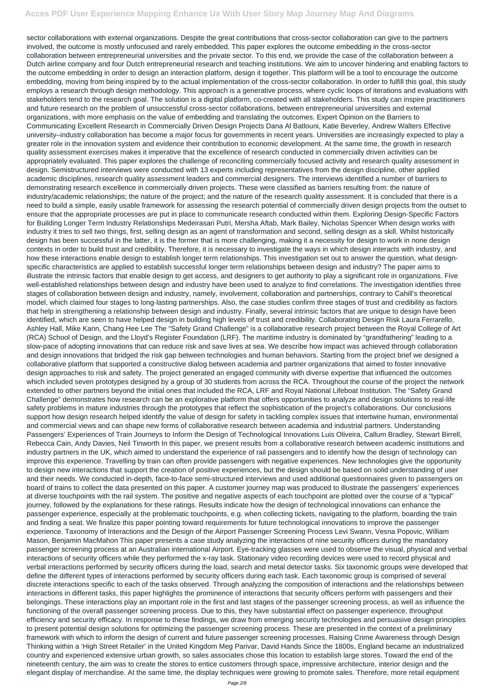sector collaborations with external organizations. Despite the great contributions that cross-sector collaboration can give to the partners involved, the outcome is mostly unfocused and rarely embedded. This paper explores the outcome embedding in the cross-sector collaboration between entrepreneurial universities and the private sector. To this end, we provide the case of the collaboration between a Dutch airline company and four Dutch entrepreneurial research and teaching institutions. We aim to uncover hindering and enabling factors to the outcome embedding in order to design an interaction platform, design it together. This platform will be a tool to encourage the outcome embedding, moving from being inspired by to the actual implementation of the cross-sector collaboration. In order to fulfill this goal, this study employs a research through design methodology. This approach is a generative process, where cyclic loops of iterations and evaluations with stakeholders tend to the research goal. The solution is a digital platform, co-created with all stakeholders. This study can inspire practitioners and future research on the problem of unsuccessful cross-sector collaborations, between entrepreneurial universities and external organizations, with more emphasis on the value of embedding and translating the outcomes. Expert Opinion on the Barriers to Communicating Excellent Research in Commercially Driven Design Projects Dana Al Batlouni, Katie Beverley, Andrew Walters Effective university–industry collaboration has become a major focus for governments in recent years. Universities are increasingly expected to play a greater role in the innovation system and evidence their contribution to economic development. At the same time, the growth in research quality assessment exercises makes it imperative that the excellence of research conducted in commercially driven activities can be appropriately evaluated. This paper explores the challenge of reconciling commercially focused activity and research quality assessment in design. Semistructured interviews were conducted with 13 experts including representatives from the design discipline, other applied academic disciplines, research quality assessment leaders and commercial designers. The interviews identified a number of barriers to demonstrating research excellence in commercially driven projects. These were classified as barriers resulting from: the nature of industry/academic relationships; the nature of the project; and the nature of the research quality assessment. It is concluded that there is a need to build a simple, easily usable framework for assessing the research potential of commercially driven design projects from the outset to ensure that the appropriate processes are put in place to communicate research conducted within them. Exploring Design-Specific Factors for Building Longer Term Industry Relationships Medeirasari Putri, Mersha Aftab, Mark Bailey, Nicholas Spencer When design works with industry it tries to sell two things, first, selling design as an agent of transformation and second, selling design as a skill. Whilst historically design has been successful in the latter, it is the former that is more challenging, making it a necessity for design to work in none design contexts in order to build trust and credibility. Therefore, it is necessary to investigate the ways in which design interacts with industry, and how these interactions enable design to establish longer term relationships. This investigation set out to answer the question, what designspecific characteristics are applied to establish successful longer term relationships between design and industry? The paper aims to illustrate the intrinsic factors that enable design to get access, and designers to get authority to play a significant role in organizations. Five well-established relationships between design and industry have been used to analyze to find correlations. The investigation identifies three stages of collaboration between design and industry, namely, involvement, collaboration and partnerships, contrary to Cahill's theoretical model, which claimed four stages to long-lasting partnerships. Also, the case studies confirm three stages of trust and credibility as factors that help in strengthening a relationship between design and industry. Finally, several intrinsic factors that are unique to design have been identified, which are seen to have helped design in building high levels of trust and credibility. Collaborating Design Risk Laura Ferrarello, Ashley Hall, Mike Kann, Chang Hee Lee The "Safety Grand Challenge" is a collaborative research project between the Royal College of Art (RCA) School of Design, and the Lloyd's Register Foundation (LRF). The maritime industry is dominated by "grandfathering" leading to a slow-pace of adopting innovations that can reduce risk and save lives at sea. We describe how impact was achieved through collaboration and design innovations that bridged the risk gap between technologies and human behaviors. Starting from the project brief we designed a collaborative platform that supported a constructive dialog between academia and partner organizations that aimed to foster innovative design approaches to risk and safety. The project generated an engaged community with diverse expertise that influenced the outcomes which included seven prototypes designed by a group of 30 students from across the RCA. Throughout the course of the project the network extended to other partners beyond the initial ones that included the RCA, LRF and Royal National Lifeboat Institution. The "Safety Grand Challenge" demonstrates how research can be an explorative platform that offers opportunities to analyze and design solutions to real-life safety problems in mature industries through the prototypes that reflect the sophistication of the project's collaborations. Our conclusions support how design research helped identify the value of design for safety in tackling complex issues that intertwine human, environmental and commercial views and can shape new forms of collaborative research between academia and industrial partners. Understanding Passengers' Experiences of Train Journeys to Inform the Design of Technological Innovations Luis Oliveira, Callum Bradley, Stewart Birrell, Rebecca Cain, Andy Davies, Neil Tinworth In this paper, we present results from a collaborative research between academic institutions and industry partners in the UK, which aimed to understand the experience of rail passengers and to identify how the design of technology can improve this experience. Travelling by train can often provide passengers with negative experiences. New technologies give the opportunity to design new interactions that support the creation of positive experiences, but the design should be based on solid understanding of user and their needs. We conducted in-depth, face-to-face semi-structured interviews and used additional questionnaires given to passengers on board of trains to collect the data presented on this paper. A customer journey map was produced to illustrate the passengers' experiences at diverse touchpoints with the rail system. The positive and negative aspects of each touchpoint are plotted over the course of a "typical" journey, followed by the explanations for these ratings. Results indicate how the design of technological innovations can enhance the passenger experience, especially at the problematic touchpoints, e.g. when collecting tickets, navigating to the platform, boarding the train and finding a seat. We finalize this paper pointing toward requirements for future technological innovations to improve the passenger experience. Taxonomy of Interactions and the Design of the Airport Passenger Screening Process Levi Swann, Vesna Popovic, William Mason, Benjamin MacMahon This paper presents a case study analyzing the interactions of nine security officers during the mandatory passenger screening process at an Australian international Airport. Eye-tracking glasses were used to observe the visual, physical and verbal interactions of security officers while they performed the x-ray task. Stationary video recording devices were used to record physical and verbal interactions performed by security officers during the load, search and metal detector tasks. Six taxonomic groups were developed that define the different types of interactions performed by security officers during each task. Each taxonomic group is comprised of several discrete interactions specific to each of the tasks observed. Through analyzing the composition of interactions and the relationships between interactions in different tasks, this paper highlights the prominence of interactions that security officers perform with passengers and their belongings. These interactions play an important role in the first and last stages of the passenger screening process, as well as influence the functioning of the overall passenger screening process. Due to this, they have substantial effect on passenger experience, throughput efficiency and security efficacy. In response to these findings, we draw from emerging security technologies and persuasive design principles to present potential design solutions for optimizing the passenger screening process. These are presented in the context of a preliminary framework with which to inform the design of current and future passenger screening processes. Raising Crime Awareness through Design Thinking within a 'High Street Retailer' in the United Kingdom Meg Parivar, David Hands Since the 1800s, England became an industrialized country and experienced extensive urban growth, so sales associates chose this location to establish large stores. Toward the end of the nineteenth century, the aim was to create the stores to entice customers through space, impressive architecture, interior design and the elegant display of merchandise. At the same time, the display techniques were growing to promote sales. Therefore, more retail equipment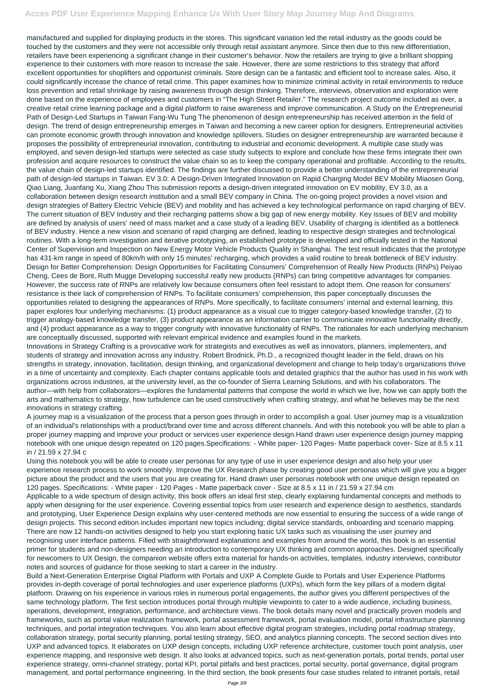manufactured and supplied for displaying products in the stores. This significant variation led the retail industry as the goods could be touched by the customers and they were not accessible only through retail assistant anymore. Since then due to this new differentiation, retailers have been experiencing a significant change in their customer's behavior. Now the retailers are trying to give a brilliant shopping experience to their customers with more reason to increase the sale. However, there are some restrictions to this strategy that afford excellent opportunities for shoplifters and opportunist criminals. Store design can be a fantastic and efficient tool to increase sales. Also, it could significantly increase the chance of retail crime. This paper examines how to minimize criminal activity in retail environments to reduce loss prevention and retail shrinkage by raising awareness through design thinking. Therefore, interviews, observation and exploration were done based on the experience of employees and customers in "The High Street Retailer." The research project outcome included as over, a creative retail crime learning package and a digital platform to raise awareness and improve communication. A Study on the Entrepreneurial Path of Design-Led Startups in Taiwan Fang-Wu Tung The phenomenon of design entrepreneurship has received attention in the field of design. The trend of design entrepreneurship emerges in Taiwan and becoming a new career option for designers. Entrepreneurial activities can promote economic growth through innovation and knowledge spillovers. Studies on designer entrepreneurship are warranted because it proposes the possibility of entrepreneurial innovation, contributing to industrial and economic development. A multiple case study was employed, and seven design-led startups were selected as case study subjects to explore and conclude how these firms integrate their own profession and acquire resources to construct the value chain so as to keep the company operational and profitable. According to the results, the value chain of design-led startups identified. The findings are further discussed to provide a better understanding of the entrepreneurial path of design-led startups in Taiwan. EV 3.0: A Design-Driven Integrated Innovation on Rapid Charging Model BEV Mobility Miaosen Gong, Qiao Liang, Juanfang Xu, Xiang Zhou This submission reports a design-driven integrated innovation on EV mobility, EV 3.0, as a collaboration between design research institution and a small BEV company in China. The on-going project provides a novel vision and design strategies of Battery Electric Vehicle (BEV) and mobility and has achieved a key technological performance on rapid charging of BEV. The current situation of BEV Industry and their recharging patterns show a big gap of new energy mobility. Key issues of BEV and mobility are defined by analysis of users' need of mass market and a case study of a leading BEV. Usability of charging is identified as a bottleneck of BEV industry. Hence a new vision and scenario of rapid charging are defined, leading to respective design strategies and technological routines. With a long-term investigation and iterative prototyping, an established prototype is developed and officially tested in the National Center of Supervision and Inspection on New Energy Motor Vehicle Products Quality in Shanghai. The test result indicates that the prototype has 431-km range in speed of 80km/h with only 15 minutes' recharging, which provides a valid routine to break bottleneck of BEV industry. Design for Better Comprehension: Design Opportunities for Facilitating Consumers' Comprehension of Really New Products (RNPs) Peiyao Cheng, Cees de Bont, Ruth Mugge Developing successful really new products (RNPs) can bring competitive advantages for companies. However, the success rate of RNPs are relatively low because consumers often feel resistant to adopt them. One reason for consumers' resistance is their lack of comprehension of RNPs. To facilitate consumers' comprehension, this paper conceptually discusses the opportunities related to designing the appearances of RNPs. More specifically, to facilitate consumers' internal and external learning, this paper explores four underlying mechanisms: (1) product appearance as a visual cue to trigger category-based knowledge transfer, (2) to trigger analogy-based knowledge transfer, (3) product appearance as an information carrier to communicate innovative functionality directly, and (4) product appearance as a way to trigger congruity with innovative functionality of RNPs. The rationales for each underlying mechanism are conceptually discussed, supported with relevant empirical evidence and examples found in the markets.

Innovations in Strategy Crafting is a provocative work for strategists and executives as well as innovators, planners, implementers, and students of strategy and innovation across any industry. Robert Brodnick, Ph.D., a recognized thought leader in the field, draws on his strengths in strategy, innovation, facilitation, design thinking, and organizational development and change to help today's organizations thrive in a time of uncertainty and complexity. Each chapter contains applicable tools and detailed graphics that the author has used in his work with organizations across industries, at the university level, as the co-founder of Sierra Learning Solutions, and with his collaborators. The author—with help from collaborators—explores the fundamental patterns that compose the world in which we live, how we can apply both the arts and mathematics to strategy, how turbulence can be used constructively when crafting strategy, and what he believes may be the next innovations in strategy crafting.

A journey map is a visualization of the process that a person goes through in order to accomplish a goal. User journey map is a visualization of an individual's relationships with a product/brand over time and across different channels. And with this notebook you will be able to plan a proper journey mapping and improve your product or services user experience design.Hand drawn user experience design journey mapping notebook with one unique design repeated on 120 pages.Specifications: - White paper- 120 Pages- Matte paperback cover- Size at 8.5 x 11 in / 21.59 x 27.94 c

Using this notebook you will be able to create user personas for any type of use in user experience design and also help your user experience research process to work smoothly. Improve the UX Research phase by creating good user personas which will give you a bigger picture about the product and the users that you are creating for. Hand drawn user personas notebook with one unique design repeated on 120 pages. Specifications: - White paper - 120 Pages - Matte paperback cover - Size at 8.5 x 11 in / 21.59 x 27.94 cm

Applicable to a wide spectrum of design activity, this book offers an ideal first step, clearly explaining fundamental concepts and methods to apply when designing for the user experience. Covering essential topics from user research and experience design to aesthetics, standards and prototyping, User Experience Design explains why user-centered methods are now essential to ensuring the success of a wide range of design projects. This second edition includes important new topics including; digital service standards, onboarding and scenario mapping.

There are now 12 hands-on activities designed to help you start exploring basic UX tasks such as visualising the user journey and recognising user interface patterns. Filled with straightforward explanations and examples from around the world, this book is an essential primer for students and non-designers needing an introduction to contemporary UX thinking and common approaches. Designed specifically for newcomers to UX Design, the companion website offers extra material for hands-on activities, templates, industry interviews, contributor notes and sources of guidance for those seeking to start a career in the industry.

Build a Next-Generation Enterprise Digital Platform with Portals and UXP A Complete Guide to Portals and User Experience Platforms provides in-depth coverage of portal technologies and user experience platforms (UXPs), which form the key pillars of a modern digital platform. Drawing on his experience in various roles in numerous portal engagements, the author gives you different perspectives of the same technology platform. The first section introduces portal through multiple viewpoints to cater to a wide audience, including business, operations, development, integration, performance, and architecture views. The book details many novel and practically proven models and frameworks, such as portal value realization framework, portal assessment framework, portal evaluation model, portal infrastructure planning techniques, and portal integration techniques. You also learn about effective digital program strategies, including portal roadmap strategy, collaboration strategy, portal security planning, portal testing strategy, SEO, and analytics planning concepts. The second section dives into UXP and advanced topics. It elaborates on UXP design concepts, including UXP reference architecture, customer touch point analysis, user experience mapping, and responsive web design. It also looks at advanced topics, such as next-generation portals, portal trends, portal user experience strategy, omni-channel strategy, portal KPI, portal pitfalls and best practices, portal security, portal governance, digital program management, and portal performance engineering. In the third section, the book presents four case studies related to intranet portals, retail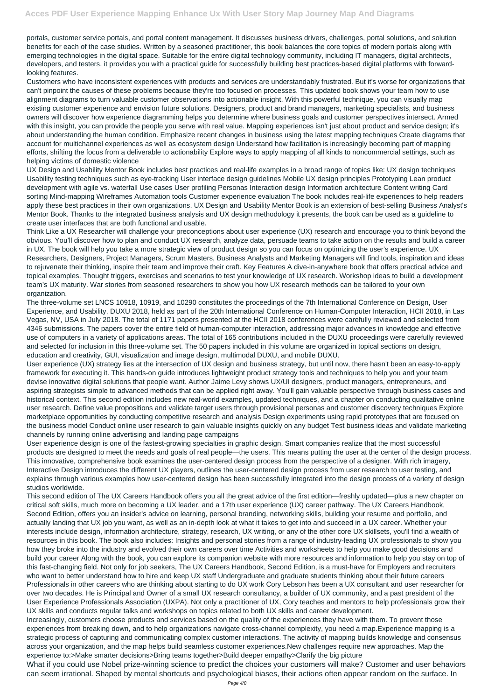portals, customer service portals, and portal content management. It discusses business drivers, challenges, portal solutions, and solution benefits for each of the case studies. Written by a seasoned practitioner, this book balances the core topics of modern portals along with emerging technologies in the digital space. Suitable for the entire digital technology community, including IT managers, digital architects, developers, and testers, it provides you with a practical guide for successfully building best practices-based digital platforms with forwardlooking features.

Customers who have inconsistent experiences with products and services are understandably frustrated. But it's worse for organizations that can't pinpoint the causes of these problems because they're too focused on processes. This updated book shows your team how to use alignment diagrams to turn valuable customer observations into actionable insight. With this powerful technique, you can visually map existing customer experience and envision future solutions. Designers, product and brand managers, marketing specialists, and business owners will discover how experience diagramming helps you determine where business goals and customer perspectives intersect. Armed with this insight, you can provide the people you serve with real value. Mapping experiences isn't just about product and service design; it's about understanding the human condition. Emphasize recent changes in business using the latest mapping techniques Create diagrams that account for multichannel experiences as well as ecosystem design Understand how facilitation is increasingly becoming part of mapping efforts, shifting the focus from a deliverable to actionability Explore ways to apply mapping of all kinds to noncommercial settings, such as helping victims of domestic violence

UX Design and Usability Mentor Book includes best practices and real-life examples in a broad range of topics like: UX design techniques Usability testing techniques such as eye-tracking User interface design guidelines Mobile UX design principles Prototyping Lean product development with agile vs. waterfall Use cases User profiling Personas Interaction design Information architecture Content writing Card sorting Mind-mapping Wireframes Automation tools Customer experience evaluation The book includes real-life experiences to help readers apply these best practices in their own organizations. UX Design and Usability Mentor Book is an extension of best-selling Business Analyst's Mentor Book. Thanks to the integrated business analysis and UX design methodology it presents, the book can be used as a guideline to create user interfaces that are both functional and usable.

Think Like a UX Researcher will challenge your preconceptions about user experience (UX) research and encourage you to think beyond the obvious. You'll discover how to plan and conduct UX research, analyze data, persuade teams to take action on the results and build a career in UX. The book will help you take a more strategic view of product design so you can focus on optimizing the user's experience. UX Researchers, Designers, Project Managers, Scrum Masters, Business Analysts and Marketing Managers will find tools, inspiration and ideas to rejuvenate their thinking, inspire their team and improve their craft. Key Features A dive-in-anywhere book that offers practical advice and topical examples. Thought triggers, exercises and scenarios to test your knowledge of UX research. Workshop ideas to build a development team's UX maturity. War stories from seasoned researchers to show you how UX research methods can be tailored to your own organization.

The three-volume set LNCS 10918, 10919, and 10290 constitutes the proceedings of the 7th International Conference on Design, User Experience, and Usability, DUXU 2018, held as part of the 20th International Conference on Human-Computer Interaction, HCII 2018, in Las Vegas, NV, USA in July 2018. The total of 1171 papers presented at the HCII 2018 conferences were carefully reviewed and selected from 4346 submissions. The papers cover the entire field of human-computer interaction, addressing major advances in knowledge and effective use of computers in a variety of applications areas. The total of 165 contributions included in the DUXU proceedings were carefully reviewed and selected for inclusion in this three-volume set. The 50 papers included in this volume are organized in topical sections on design, education and creativity, GUI, visualization and image design, multimodal DUXU, and mobile DUXU.

User experience (UX) strategy lies at the intersection of UX design and business strategy, but until now, there hasn't been an easy-to-apply framework for executing it. This hands-on guide introduces lightweight product strategy tools and techniques to help you and your team devise innovative digital solutions that people want. Author Jaime Levy shows UX/UI designers, product managers, entrepreneurs, and aspiring strategists simple to advanced methods that can be applied right away. You'll gain valuable perspective through business cases and historical context. This second edition includes new real-world examples, updated techniques, and a chapter on conducting qualitative online user research. Define value propositions and validate target users through provisional personas and customer discovery techniques Explore marketplace opportunities by conducting competitive research and analysis Design experiments using rapid prototypes that are focused on the business model Conduct online user research to gain valuable insights quickly on any budget Test business ideas and validate marketing channels by running online advertising and landing page campaigns

User experience design is one of the fastest-growing specialties in graphic design. Smart companies realize that the most successful products are designed to meet the needs and goals of real people—the users. This means putting the user at the center of the design process. This innovative, comprehensive book examines the user-centered design process from the perspective of a designer. With rich imagery, Interactive Design introduces the different UX players, outlines the user-centered design process from user research to user testing, and explains through various examples how user-centered design has been successfully integrated into the design process of a variety of design studios worldwide.

This second edition of The UX Careers Handbook offers you all the great advice of the first edition—freshly updated—plus a new chapter on critical soft skills, much more on becoming a UX leader, and a 17th user experience (UX) career pathway. The UX Careers Handbook, Second Edition, offers you an insider's advice on learning, personal branding, networking skills, building your resume and portfolio, and actually landing that UX job you want, as well as an in-depth look at what it takes to get into and succeed in a UX career. Whether your

interests include design, information architecture, strategy, research, UX writing, or any of the other core UX skillsets, you'll find a wealth of resources in this book. The book also includes: Insights and personal stories from a range of industry-leading UX professionals to show you how they broke into the industry and evolved their own careers over time Activities and worksheets to help you make good decisions and build your career Along with the book, you can explore its companion website with more resources and information to help you stay on top of this fast-changing field. Not only for job seekers, The UX Careers Handbook, Second Edition, is a must-have for Employers and recruiters who want to better understand how to hire and keep UX staff Undergraduate and graduate students thinking about their future careers Professionals in other careers who are thinking about starting to do UX work Cory Lebson has been a UX consultant and user researcher for over two decades. He is Principal and Owner of a small UX research consultancy, a builder of UX community, and a past president of the User Experience Professionals Association (UXPA). Not only a practitioner of UX, Cory teaches and mentors to help professionals grow their UX skills and conducts regular talks and workshops on topics related to both UX skills and career development. Increasingly, customers choose products and services based on the quality of the experiences they have with them. To prevent those experiences from breaking down, and to help organizations navigate cross-channel complexity, you need a map.Experience mapping is a strategic process of capturing and communicating complex customer interactions. The activity of mapping builds knowledge and consensus across your organization, and the map helps build seamless customer experiences.New challenges require new approaches. Map the experience to:>Make smarter decisions>Bring teams together>Build deeper empathy>Clarify the big picture What if you could use Nobel prize-winning science to predict the choices your customers will make? Customer and user behaviors can seem irrational. Shaped by mental shortcuts and psychological biases, their actions often appear random on the surface. In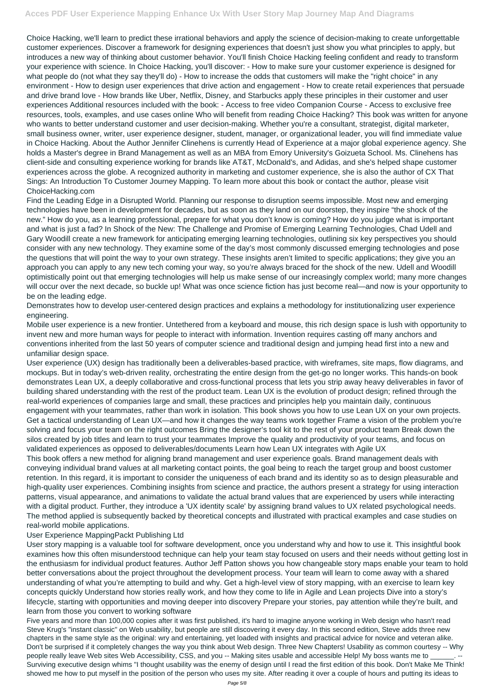Choice Hacking, we'll learn to predict these irrational behaviors and apply the science of decision-making to create unforgettable customer experiences. Discover a framework for designing experiences that doesn't just show you what principles to apply, but introduces a new way of thinking about customer behavior. You'll finish Choice Hacking feeling confident and ready to transform your experience with science. In Choice Hacking, you'll discover: - How to make sure your customer experience is designed for what people do (not what they say they'll do) - How to increase the odds that customers will make the "right choice" in any environment - How to design user experiences that drive action and engagement - How to create retail experiences that persuade and drive brand love - How brands like Uber, Netflix, Disney, and Starbucks apply these principles in their customer and user experiences Additional resources included with the book: - Access to free video Companion Course - Access to exclusive free resources, tools, examples, and use cases online Who will benefit from reading Choice Hacking? This book was written for anyone who wants to better understand customer and user decision-making. Whether you're a consultant, strategist, digital marketer, small business owner, writer, user experience designer, student, manager, or organizational leader, you will find immediate value in Choice Hacking. About the Author Jennifer Clinehens is currently Head of Experience at a major global experience agency. She holds a Master's degree in Brand Management as well as an MBA from Emory University's Goizueta School. Ms. Clinehens has client-side and consulting experience working for brands like AT&T, McDonald's, and Adidas, and she's helped shape customer experiences across the globe. A recognized authority in marketing and customer experience, she is also the author of CX That Sings: An Introduction To Customer Journey Mapping. To learn more about this book or contact the author, please visit ChoiceHacking.com

Find the Leading Edge in a Disrupted World. Planning our response to disruption seems impossible. Most new and emerging technologies have been in development for decades, but as soon as they land on our doorstep, they inspire "the shock of the new." How do you, as a learning professional, prepare for what you don't know is coming? How do you judge what is important and what is just a fad? In Shock of the New: The Challenge and Promise of Emerging Learning Technologies, Chad Udell and Gary Woodill create a new framework for anticipating emerging learning technologies, outlining six key perspectives you should consider with any new technology. They examine some of the day's most commonly discussed emerging technologies and pose the questions that will point the way to your own strategy. These insights aren't limited to specific applications; they give you an approach you can apply to any new tech coming your way, so you're always braced for the shock of the new. Udell and Woodill optimistically point out that emerging technologies will help us make sense of our increasingly complex world; many more changes will occur over the next decade, so buckle up! What was once science fiction has just become real—and now is your opportunity to be on the leading edge.

Demonstrates how to develop user-centered design practices and explains a methodology for institutionalizing user experience engineering.

Mobile user experience is a new frontier. Untethered from a keyboard and mouse, this rich design space is lush with opportunity to invent new and more human ways for people to interact with information. Invention requires casting off many anchors and conventions inherited from the last 50 years of computer science and traditional design and jumping head first into a new and unfamiliar design space.

User experience (UX) design has traditionally been a deliverables-based practice, with wireframes, site maps, flow diagrams, and mockups. But in today's web-driven reality, orchestrating the entire design from the get-go no longer works. This hands-on book demonstrates Lean UX, a deeply collaborative and cross-functional process that lets you strip away heavy deliverables in favor of building shared understanding with the rest of the product team. Lean UX is the evolution of product design; refined through the real-world experiences of companies large and small, these practices and principles help you maintain daily, continuous engagement with your teammates, rather than work in isolation. This book shows you how to use Lean UX on your own projects. Get a tactical understanding of Lean UX—and how it changes the way teams work together Frame a vision of the problem you're solving and focus your team on the right outcomes Bring the designer's tool kit to the rest of your product team Break down the silos created by job titles and learn to trust your teammates Improve the quality and productivity of your teams, and focus on validated experiences as opposed to deliverables/documents Learn how Lean UX integrates with Agile UX

This book offers a new method for aligning brand management and user experience goals. Brand management deals with conveying individual brand values at all marketing contact points, the goal being to reach the target group and boost customer retention. In this regard, it is important to consider the uniqueness of each brand and its identity so as to design pleasurable and high-quality user experiences. Combining insights from science and practice, the authors present a strategy for using interaction patterns, visual appearance, and animations to validate the actual brand values that are experienced by users while interacting with a digital product. Further, they introduce a 'UX identity scale' by assigning brand values to UX related psychological needs. The method applied is subsequently backed by theoretical concepts and illustrated with practical examples and case studies on real-world mobile applications.

## User Experience MappingPackt Publishing Ltd

User story mapping is a valuable tool for software development, once you understand why and how to use it. This insightful book examines how this often misunderstood technique can help your team stay focused on users and their needs without getting lost in the enthusiasm for individual product features. Author Jeff Patton shows you how changeable story maps enable your team to hold better conversations about the project throughout the development process. Your team will learn to come away with a shared understanding of what you're attempting to build and why. Get a high-level view of story mapping, with an exercise to learn key concepts quickly Understand how stories really work, and how they come to life in Agile and Lean projects Dive into a story's lifecycle, starting with opportunities and moving deeper into discovery Prepare your stories, pay attention while they're built, and learn from those you convert to working software

Five years and more than 100,000 copies after it was first published, it's hard to imagine anyone working in Web design who hasn't read Steve Krug's "instant classic" on Web usability, but people are still discovering it every day. In this second edition, Steve adds three new chapters in the same style as the original: wry and entertaining, yet loaded with insights and practical advice for novice and veteran alike. Don't be surprised if it completely changes the way you think about Web design. Three New Chapters! Usability as common courtesy -- Why people really leave Web sites Web Accessibility, CSS, and you -- Making sites usable and accessible Help! My boss wants me to Surviving executive design whims "I thought usability was the enemy of design until I read the first edition of this book. Don't Make Me Think! showed me how to put myself in the position of the person who uses my site. After reading it over a couple of hours and putting its ideas to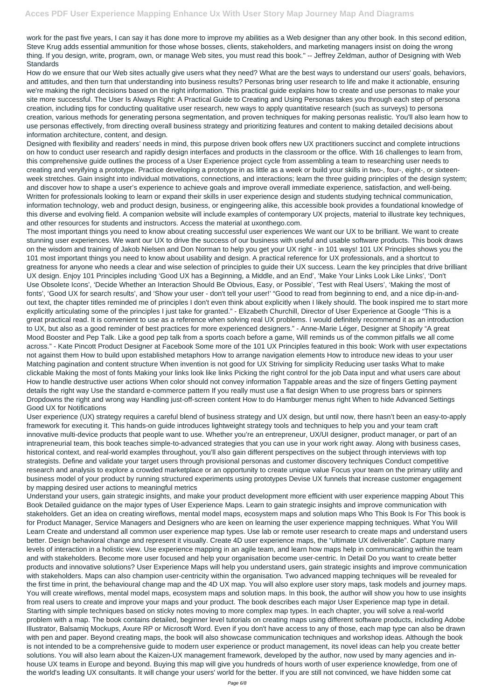work for the past five years, I can say it has done more to improve my abilities as a Web designer than any other book. In this second edition, Steve Krug adds essential ammunition for those whose bosses, clients, stakeholders, and marketing managers insist on doing the wrong thing. If you design, write, program, own, or manage Web sites, you must read this book." -- Jeffrey Zeldman, author of Designing with Web **Standards** 

How do we ensure that our Web sites actually give users what they need? What are the best ways to understand our users' goals, behaviors, and attitudes, and then turn that understanding into business results? Personas bring user research to life and make it actionable, ensuring we're making the right decisions based on the right information. This practical guide explains how to create and use personas to make your site more successful. The User Is Always Right: A Practical Guide to Creating and Using Personas takes you through each step of persona creation, including tips for conducting qualitative user research, new ways to apply quantitative research (such as surveys) to persona creation, various methods for generating persona segmentation, and proven techniques for making personas realistic. You'll also learn how to use personas effectively, from directing overall business strategy and prioritizing features and content to making detailed decisions about information architecture, content, and design.

Designed with flexibility and readers' needs in mind, this purpose driven book offers new UX practitioners succinct and complete intructions on how to conduct user research and rapidly design interfaces and products in the classroom or the office. With 16 challenges to learn from, this comprehensive guide outlines the process of a User Experience project cycle from assembling a team to researching user needs to creating and veryifying a prototype. Practice developing a prototype in as little as a week or build your skills in two-, four-, eight-, or sixteenweek stretches. Gain insight into individual motivations, connections, and interactions; learn the three guiding principles of the design system; and discover how to shape a user's experience to achieve goals and improve overall immediate experience, satisfaction, and well-being. Written for professionals looking to learn or expand their skills in user experience design and students studying technical communication, information technology, web and product design, business, or engingeering alike, this accessible book provides a foundational knowledge of this diverse and evolving field. A companion website will include examples of contemporary UX projects, material to illustrate key techniques, and other resources for students and instructors. Access the material at uxonthego.com.

The most important things you need to know about creating successful user experiences We want our UX to be brilliant. We want to create stunning user experiences. We want our UX to drive the success of our business with useful and usable software products. This book draws on the wisdom and training of Jakob Nielsen and Don Norman to help you get your UX right - in 101 ways! 101 UX Principles shows you the 101 most important things you need to know about usability and design. A practical reference for UX professionals, and a shortcut to greatness for anyone who needs a clear and wise selection of principles to guide their UX success. Learn the key principles that drive brilliant UX design. Enjoy 101 Principles including 'Good UX has a Beginning, a Middle, and an End', 'Make Your Links Look Like Links', 'Don't Use Obsolete Icons', 'Decide Whether an Interaction Should Be Obvious, Easy, or Possible', 'Test with Real Users', 'Making the most of fonts', 'Good UX for search results', and 'Show your user - don't tell your user!' "Good to read from beginning to end, and a nice dip-in-andout text, the chapter titles reminded me of principles I don't even think about explicitly when I likely should. The book inspired me to start more explicitly articulating some of the principles I just take for granted." - Elizabeth Churchill, Director of User Experience at Google "This is a great practical read. It is convenient to use as a reference when solving real UX problems. I would definitely recommend it as an introduction to UX, but also as a good reminder of best practices for more experienced designers." - Anne-Marie Léger, Designer at Shopify "A great Mood Booster and Pep Talk. Like a good pep talk from a sports coach before a game, Will reminds us of the common pitfalls we all come across." - Kate Pincott Product Designer at Facebook Some more of the 101 UX Principles featured in this book: Work with user expectations not against them How to build upon established metaphors How to arrange navigation elements How to introduce new ideas to your user Matching pagination and content structure When invention is not good for UX Striving for simplicity Reducing user tasks What to make clickable Making the most of fonts Making your links look like links Picking the right control for the job Data input and what users care about How to handle destructive user actions When color should not convey information Tappable areas and the size of fingers Getting payment details the right way Use the standard e-commerce pattern If you really must use a flat design When to use progress bars or spinners Dropdowns the right and wrong way Handling just-off-screen content How to do Hamburger menus right When to hide Advanced Settings Good UX for Notifications

User experience (UX) strategy requires a careful blend of business strategy and UX design, but until now, there hasn't been an easy-to-apply framework for executing it. This hands-on guide introduces lightweight strategy tools and techniques to help you and your team craft innovative multi-device products that people want to use. Whether you're an entrepreneur, UX/UI designer, product manager, or part of an intrapreneurial team, this book teaches simple-to-advanced strategies that you can use in your work right away. Along with business cases, historical context, and real-world examples throughout, you'll also gain different perspectives on the subject through interviews with top strategists. Define and validate your target users through provisional personas and customer discovery techniques Conduct competitive research and analysis to explore a crowded marketplace or an opportunity to create unique value Focus your team on the primary utility and business model of your product by running structured experiments using prototypes Devise UX funnels that increase customer engagement by mapping desired user actions to meaningful metrics

Understand your users, gain strategic insights, and make your product development more efficient with user experience mapping About This Book Detailed guidance on the major types of User Experience Maps. Learn to gain strategic insights and improve communication with stakeholders. Get an idea on creating wireflows, mental model maps, ecosystem maps and solution maps Who This Book Is For This book is for Product Manager, Service Managers and Designers who are keen on learning the user experience mapping techniques. What You Will

Learn Create and understand all common user experience map types. Use lab or remote user research to create maps and understand users better. Design behavioral change and represent it visually. Create 4D user experience maps, the "ultimate UX deliverable". Capture many levels of interaction in a holistic view. Use experience mapping in an agile team, and learn how maps help in communicating within the team and with stakeholders. Become more user focused and help your organisation become user-centric. In Detail Do you want to create better products and innovative solutions? User Experience Maps will help you understand users, gain strategic insights and improve communication with stakeholders. Maps can also champion user-centricity within the organisation. Two advanced mapping techniques will be revealed for the first time in print, the behavioural change map and the 4D UX map. You will also explore user story maps, task models and journey maps. You will create wireflows, mental model maps, ecosystem maps and solution maps. In this book, the author will show you how to use insights from real users to create and improve your maps and your product. The book describes each major User Experience map type in detail. Starting with simple techniques based on sticky notes moving to more complex map types. In each chapter, you will solve a real-world problem with a map. The book contains detailed, beginner level tutorials on creating maps using different software products, including Adobe Illustrator, Balsamiq Mockups, Axure RP or Microsoft Word. Even if you don't have access to any of those, each map type can also be drawn with pen and paper. Beyond creating maps, the book will also showcase communication techniques and workshop ideas. Although the book is not intended to be a comprehensive guide to modern user experience or product management, its novel ideas can help you create better solutions. You will also learn about the Kaizen-UX management framework, developed by the author, now used by many agencies and inhouse UX teams in Europe and beyond. Buying this map will give you hundreds of hours worth of user experience knowledge, from one of the world's leading UX consultants. It will change your users' world for the better. If you are still not convinced, we have hidden some cat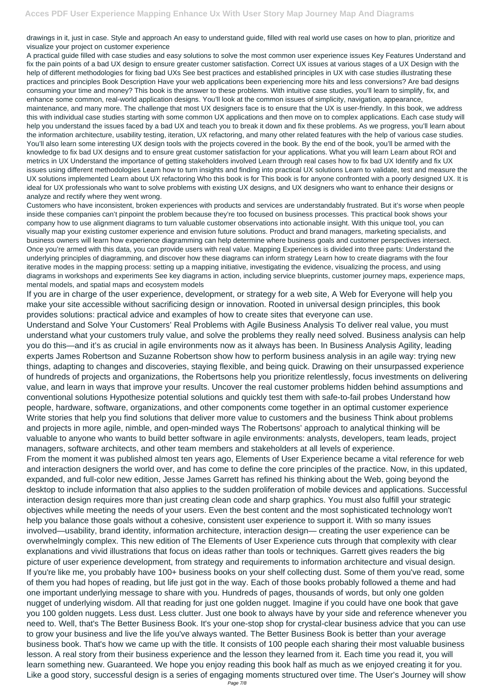drawings in it, just in case. Style and approach An easy to understand guide, filled with real world use cases on how to plan, prioritize and visualize your project on customer experience

A practical guide filled with case studies and easy solutions to solve the most common user experience issues Key Features Understand and fix the pain points of a bad UX design to ensure greater customer satisfaction. Correct UX issues at various stages of a UX Design with the help of different methodologies for fixing bad UXs See best practices and established principles in UX with case studies illustrating these practices and principles Book Description Have your web applications been experiencing more hits and less conversions? Are bad designs consuming your time and money? This book is the answer to these problems. With intuitive case studies, you'll learn to simplify, fix, and enhance some common, real-world application designs. You'll look at the common issues of simplicity, navigation, appearance, maintenance, and many more. The challenge that most UX designers face is to ensure that the UX is user-friendly. In this book, we address this with individual case studies starting with some common UX applications and then move on to complex applications. Each case study will help you understand the issues faced by a bad UX and teach you to break it down and fix these problems. As we progress, you'll learn about the information architecture, usability testing, iteration, UX refactoring, and many other related features with the help of various case studies. You'll also learn some interesting UX design tools with the projects covered in the book. By the end of the book, you'll be armed with the knowledge to fix bad UX designs and to ensure great customer satisfaction for your applications. What you will learn Learn about ROI and metrics in UX Understand the importance of getting stakeholders involved Learn through real cases how to fix bad UX Identify and fix UX issues using different methodologies Learn how to turn insights and finding into practical UX solutions Learn to validate, test and measure the UX solutions implemented Learn about UX refactoring Who this book is for This book is for anyone confronted with a poorly designed UX. It is ideal for UX professionals who want to solve problems with existing UX designs, and UX designers who want to enhance their designs or analyze and rectify where they went wrong.

Customers who have inconsistent, broken experiences with products and services are understandably frustrated. But it's worse when people inside these companies can't pinpoint the problem because they're too focused on business processes. This practical book shows your company how to use alignment diagrams to turn valuable customer observations into actionable insight. With this unique tool, you can visually map your existing customer experience and envision future solutions. Product and brand managers, marketing specialists, and business owners will learn how experience diagramming can help determine where business goals and customer perspectives intersect. Once you're armed with this data, you can provide users with real value. Mapping Experiences is divided into three parts: Understand the underlying principles of diagramming, and discover how these diagrams can inform strategy Learn how to create diagrams with the four iterative modes in the mapping process: setting up a mapping initiative, investigating the evidence, visualizing the process, and using diagrams in workshops and experiments See key diagrams in action, including service blueprints, customer journey maps, experience maps, mental models, and spatial maps and ecosystem models

If you are in charge of the user experience, development, or strategy for a web site, A Web for Everyone will help you make your site accessible without sacrificing design or innovation. Rooted in universal design principles, this book provides solutions: practical advice and examples of how to create sites that everyone can use.

Understand and Solve Your Customers' Real Problems with Agile Business Analysis To deliver real value, you must understand what your customers truly value, and solve the problems they really need solved. Business analysis can help you do this—and it's as crucial in agile environments now as it always has been. In Business Analysis Agility, leading experts James Robertson and Suzanne Robertson show how to perform business analysis in an agile way: trying new things, adapting to changes and discoveries, staying flexible, and being quick. Drawing on their unsurpassed experience of hundreds of projects and organizations, the Robertsons help you prioritize relentlessly, focus investments on delivering value, and learn in ways that improve your results. Uncover the real customer problems hidden behind assumptions and conventional solutions Hypothesize potential solutions and quickly test them with safe-to-fail probes Understand how people, hardware, software, organizations, and other components come together in an optimal customer experience Write stories that help you find solutions that deliver more value to customers and the business Think about problems and projects in more agile, nimble, and open-minded ways The Robertsons' approach to analytical thinking will be valuable to anyone who wants to build better software in agile environments: analysts, developers, team leads, project managers, software architects, and other team members and stakeholders at all levels of experience.

From the moment it was published almost ten years ago, Elements of User Experience became a vital reference for web and interaction designers the world over, and has come to define the core principles of the practice. Now, in this updated, expanded, and full-color new edition, Jesse James Garrett has refined his thinking about the Web, going beyond the desktop to include information that also applies to the sudden proliferation of mobile devices and applications. Successful interaction design requires more than just creating clean code and sharp graphics. You must also fulfill your strategic objectives while meeting the needs of your users. Even the best content and the most sophisticated technology won't help you balance those goals without a cohesive, consistent user experience to support it. With so many issues involved—usability, brand identity, information architecture, interaction design— creating the user experience can be overwhelmingly complex. This new edition of The Elements of User Experience cuts through that complexity with clear explanations and vivid illustrations that focus on ideas rather than tools or techniques. Garrett gives readers the big picture of user experience development, from strategy and requirements to information architecture and visual design. If you're like me, you probably have 100+ business books on your shelf collecting dust. Some of them you've read, some of them you had hopes of reading, but life just got in the way. Each of those books probably followed a theme and had one important underlying message to share with you. Hundreds of pages, thousands of words, but only one golden nugget of underlying wisdom. All that reading for just one golden nugget. Imagine if you could have one book that gave you 100 golden nuggets. Less dust. Less clutter. Just one book to always have by your side and reference whenever you need to. Well, that's The Better Business Book. It's your one-stop shop for crystal-clear business advice that you can use to grow your business and live the life you've always wanted. The Better Business Book is better than your average business book. That's how we came up with the title. It consists of 100 people each sharing their most valuable business lesson. A real story from their business experience and the lesson they learned from it. Each time you read it, you will learn something new. Guaranteed. We hope you enjoy reading this book half as much as we enjoyed creating it for you. Like a good story, successful design is a series of engaging moments structured over time. The User's Journey will show Page 7/8